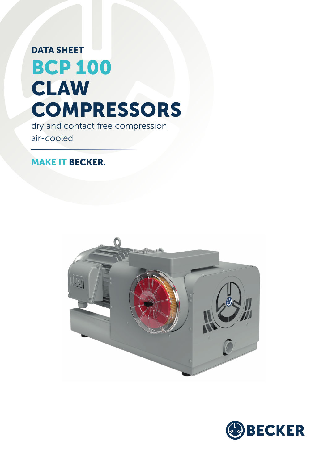## BCP 100 DATA SHEET CLAW **COMPRESSORS**

dry and contact free compression air-cooled

## MAKE IT BECKER.



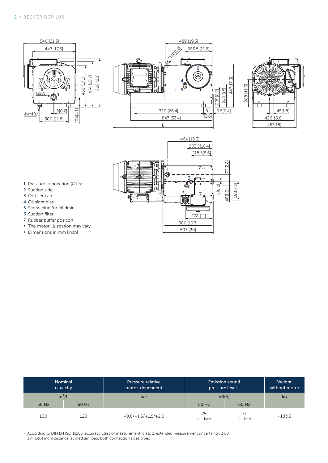







- 1 Pressure connection (G1½)
- 2 Suction side
- 3 Oil filler cap
- 4 Oil sight glas
- 5 Screw plug for oil drain
- 6 Suction filter
- 7 Rubber buffer position
- **•** The motor illustration may vary.
- **▪** Dimensions in mm [inch]

|       | Nominal<br>capacity | <b>Pressure relative</b><br>motor-dependent | <b>Emission sound</b><br>pressure level <sup>1)</sup> | Weight<br>without motor |                 |
|-------|---------------------|---------------------------------------------|-------------------------------------------------------|-------------------------|-----------------|
|       | $m^3/h$             | bar                                         | dB(A)                                                 | kg                      |                 |
| 50 Hz | 60 Hz               |                                             | 50 Hz                                                 | 60 Hz                   |                 |
| 100   | 120                 | $+0.8/+1.3/+1.5/+2.0$                       | 75<br>$(+1 bar)$                                      | $(+1 \text{ bar})$      | $\approx 103.5$ |

<sup>1)</sup> According to DIN EN ISO 11203, accuracy class of measurement: class 2, extended measurement uncertainty: 3 dB 1 m [39.4 inch] distance, at medium load, both connection sides piped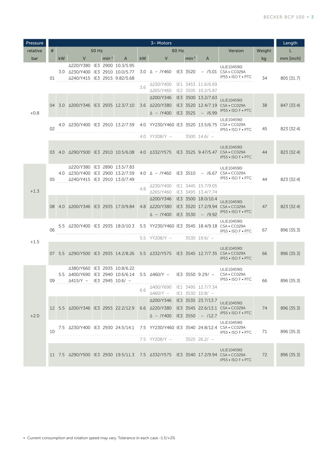| Pressure | 3~ Motors  |                                     |                                                                                                  |  |         |                              |     |                                                                |  | Length      |                                                       |                                                                                                                                |            |            |
|----------|------------|-------------------------------------|--------------------------------------------------------------------------------------------------|--|---------|------------------------------|-----|----------------------------------------------------------------|--|-------------|-------------------------------------------------------|--------------------------------------------------------------------------------------------------------------------------------|------------|------------|
| relative | #<br>50 Hz |                                     |                                                                                                  |  | 60 Hz   |                              |     |                                                                |  | Version     | Weight                                                | L                                                                                                                              |            |            |
| bar      |            | <b>kW</b>                           | V                                                                                                |  | $min-1$ | A                            | kW  | V                                                              |  | $min-1$     | A                                                     |                                                                                                                                | kg         | mm [inch]  |
| $+0.8$   | 01         |                                     | △220/Y380 IE3 2900 10.3/5.95<br>3.0 A230/Y400 IE3 2910 10.0/5.77<br>△240/Y415 IE3 2915 9.82/5.68 |  |         |                              | 3.6 | $3.0 \Delta - Y460$ IE3 3520<br>△230/Y400 IE1 3453 11.6/6.69   |  |             |                                                       | UL(E104590)<br>$-$ /5.01 CSA $\cdot$ CC029A<br>IP55 . ISO F . PTC                                                              | 34         | 805 [31.7] |
|          |            |                                     | 04 3.0 Δ200/Y346 IE3 2935 12.3/7.10                                                              |  |         |                              |     | ∆265/Y460<br>Δ200/Y346<br>3.6 A220/Y380<br>$\triangle$ - /Y400 |  | IE3 3525    | IE2 3505 10.2/5.87<br>IE3 3500 13.2/7.63<br>$-$ /6.99 | UL(E104590)<br>IE3 3520 12.4/7.19 CSA · CC029A<br>IP55 • ISO F • PTC                                                           | 38         | 847 [33.4] |
|          | 02         |                                     |                                                                                                  |  |         |                              |     |                                                                |  |             |                                                       | UL(E104590)<br>4.0 △230/Y400 IE3 2910 13.2/7.59 4.0 YY230/Y460 IE3 3520 13.5/6.75 CSA • CC029A<br>$IP55 \cdot ISO F \cdot PTC$ | 45         | 823 [32.4] |
|          |            |                                     |                                                                                                  |  |         |                              |     | 4.0 YY208/Y $-$                                                |  |             | $3500$ 14.6/ $-$                                      |                                                                                                                                |            |            |
|          |            |                                     |                                                                                                  |  |         |                              |     |                                                                |  |             |                                                       | UL(E104590)<br>03 4.0 Δ290/Y500 IE3 2910 10.5/6.08 4.0 Δ332/Y575 IE3 3525 9.47/5.47 CSA · CC029A<br>IP55 . ISO F . PTC         | 44         | 823 [32.4] |
| $+1.3$   | 05         |                                     | △220/Y380 IE3 2890 13.5/7.83<br>4.0 Δ230/Y400 IE3 2900 13.2/7.59<br>Δ240/Y415 IE3 2910 13.0/7.49 |  |         |                              |     |                                                                |  |             |                                                       | UL(E104590)<br>4.0 $\triangle$ - /Y460 IE3 3510 - /6.67 CSA • CC029A<br>IP55 • ISO F • PTC                                     | 44         | 823 [32.4] |
|          |            |                                     |                                                                                                  |  |         |                              | 4.8 | ∆230/Y400<br>∆265/Y460                                         |  |             | IE1 3445 15.7/9.05<br>IE3 3495 13.4/7.74              |                                                                                                                                |            |            |
|          |            |                                     | 08 4.0 Δ200/Y346 IE3 2935 17.0/9.84                                                              |  |         |                              |     | Δ200/Y346<br>4.8 $\triangle$ 220/Y380<br>$\triangle$ - /Y400   |  | IE3 3530    | IE3 3500 18.0/10.4<br>$-$ /9.92                       | UL(E104590)<br>IE3 3520 17.2/9.94 CSA · CC029A<br>IP55 . ISO F . PTC                                                           | 47         | 823 [32.4] |
|          | 06         |                                     |                                                                                                  |  |         |                              |     | 5.5 YY208/Y $-$                                                |  |             | $3530$ 19.6/ $-$                                      | UL(E104590)<br>5.5 ∆230/Y400 IE3 2935 18.0/10.3 5.5 YY230/Y460 IE3 3545 18.4/9.18 CSA • CC029A<br>IP55 . ISO F . PTC           | 67         | 896 [35.3] |
| $+1.5$   |            |                                     |                                                                                                  |  |         |                              |     |                                                                |  |             |                                                       | UL(E104590)<br>07 5.5 Δ290/Y500 IE3 2935 14.2/8.26 5.5 Δ332/Y575 IE3 3545 12.7/7.35 CSA · CC029A<br>IP55 • ISO F • PTC         | 66         | 896 [35.3] |
| $+2.0$   | 09         |                                     | △380/Y660 IE3 2935 10.8/6.22<br>$\triangle$ 415/Y - IE3 2945 10.6/ -                             |  |         |                              |     | 5.5 Δ400/Y690 IE3 2940 10.6/6.14 5.5 Δ460/Y - IE3 3550 9.29/ - |  |             |                                                       | UL(E104590)<br>CSA • CC029A<br>IP55 • ISO F • PTC                                                                              | 66         | 896 [35.3] |
|          |            |                                     |                                                                                                  |  |         |                              | 6.6 | Δ400/Y690 IE1 3495 12.7/7.34<br>$\triangle$ 460/Y $-$          |  |             | $ E1 3530 10.8 $ -                                    |                                                                                                                                |            |            |
|          |            |                                     |                                                                                                  |  |         | Δ200/Y346 IE3 3535 23.7/13.7 |     |                                                                |  | UL(E104590) |                                                       |                                                                                                                                |            |            |
|          |            | 12 5.5 Δ200/Y346 IE3 2955 22.2/12.9 |                                                                                                  |  |         |                              |     |                                                                |  |             | 6.6 4220/Y380 IE3 3545 22.6/13.1 CSA · CC029A         | 74                                                                                                                             | 896 [35.3] |            |
|          |            |                                     |                                                                                                  |  |         |                              |     | $\triangle$ - /Y400 IE3 3550                                   |  |             | $- /12.7$                                             | IP55 . ISO F . PTC                                                                                                             |            |            |
|          | 10         |                                     |                                                                                                  |  |         |                              |     |                                                                |  |             |                                                       | UL(E104590)<br>7.5 Δ230/Y400 IE3 2930 24.5/14.1 7.5 YY230/Y460 IE3 3540 24.8/12.4 CSA · CC029A<br>IP55 . ISO F . PTC           | 71         | 896 [35.3] |
|          |            |                                     |                                                                                                  |  |         |                              |     | 7.5 YY208/Y -                                                  |  |             | $3525$ 26.2/ -                                        |                                                                                                                                |            |            |
|          |            |                                     |                                                                                                  |  |         |                              |     |                                                                |  |             |                                                       | UL(E104590)<br>11 7.5 A290/Y500 IE3 2930 19.5/11.3 7.5 A332/Y575 IE3 3540 17.2/9.94 CSA CC029A<br>IP55 • ISO F • PTC           | 72         | 896 [35.3] |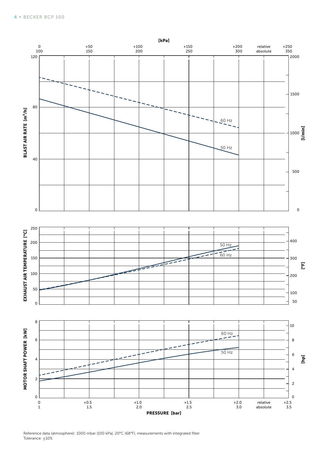

Reference data (atmosphere): 1000 mbar (100 kPa), 20°C (68°F), measurements with integrated filter Tolerance:  $\pm 10\%$